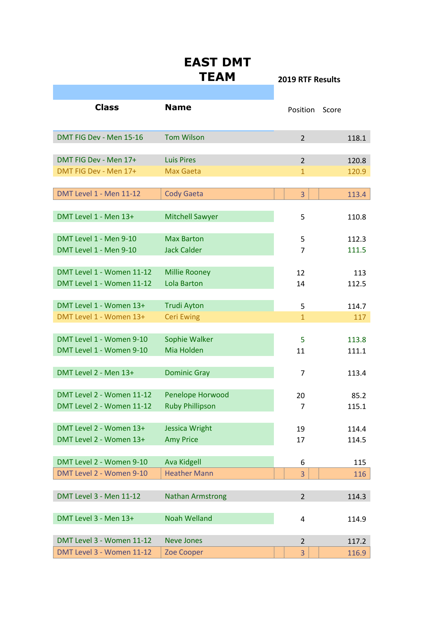|                                | <b>EAST DMT</b><br><b>TEAM</b> | <b>2019 RTF Results</b> |       |
|--------------------------------|--------------------------------|-------------------------|-------|
|                                |                                |                         |       |
| <b>Class</b>                   | <b>Name</b>                    | Position                | Score |
| DMT FIG Dev - Men 15-16        | <b>Tom Wilson</b>              | $\overline{2}$          | 118.1 |
| DMT FIG Dev - Men 17+          | <b>Luis Pires</b>              | $\overline{2}$          | 120.8 |
| DMT FIG Dev - Men 17+          | Max Gaeta                      | $\mathbf{1}$            | 120.9 |
|                                |                                |                         |       |
| <b>DMT Level 1 - Men 11-12</b> | <b>Cody Gaeta</b>              | 3                       | 113.4 |
|                                |                                |                         |       |
| DMT Level 1 - Men 13+          | <b>Mitchell Sawyer</b>         | 5                       | 110.8 |
|                                |                                |                         |       |
| DMT Level 1 - Men 9-10         | <b>Max Barton</b>              | 5                       | 112.3 |
| DMT Level 1 - Men 9-10         | <b>Jack Calder</b>             | $\overline{7}$          | 111.5 |
|                                |                                |                         |       |
| DMT Level 1 - Women 11-12      | <b>Millie Rooney</b>           | 12                      | 113   |
| DMT Level 1 - Women 11-12      | <b>Lola Barton</b>             | 14                      | 112.5 |
|                                |                                |                         |       |
| DMT Level 1 - Women 13+        | <b>Trudi Ayton</b>             | 5                       | 114.7 |
| DMT Level 1 - Women 13+        | <b>Ceri Ewing</b>              | $\mathbf{1}$            | 117   |
|                                |                                |                         |       |
| DMT Level 1 - Women 9-10       | Sophie Walker                  | 5                       | 113.8 |
| DMT Level 1 - Women 9-10       | Mia Holden                     | 11                      | 111.1 |
|                                |                                |                         |       |
| DMT Level 2 - Men 13+          | <b>Dominic Gray</b>            | 7                       | 113.4 |
|                                |                                |                         |       |
| DMT Level 2 - Women 11-12      | Penelope Horwood               | 20                      | 85.2  |
| DMT Level 2 - Women 11-12      | <b>Ruby Phillipson</b>         | 7                       | 115.1 |
|                                |                                |                         |       |
| DMT Level 2 - Women 13+        | <b>Jessica Wright</b>          | 19                      | 114.4 |
| DMT Level 2 - Women 13+        | <b>Amy Price</b>               | 17                      | 114.5 |
|                                |                                |                         |       |
| DMT Level 2 - Women 9-10       | <b>Ava Kidgell</b>             | 6                       | 115   |
| DMT Level 2 - Women 9-10       | <b>Heather Mann</b>            | 3                       | 116   |
|                                |                                |                         |       |
| <b>DMT Level 3 - Men 11-12</b> | <b>Nathan Armstrong</b>        | $\overline{2}$          | 114.3 |
|                                |                                |                         |       |
| DMT Level 3 - Men 13+          | <b>Noah Welland</b>            | 4                       | 114.9 |
|                                |                                |                         |       |
| DMT Level 3 - Women 11-12      | <b>Neve Jones</b>              | $\overline{2}$          | 117.2 |
| DMT Level 3 - Women 11-12      | Zoe Cooper                     | 3                       | 116.9 |